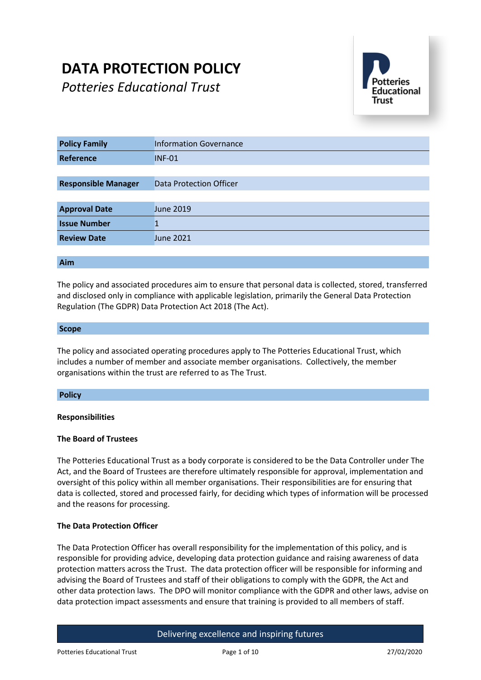# **DATA PROTECTION POLICY**

*Potteries Educational Trust*



| <b>Policy Family</b>       | <b>Information Governance</b> |
|----------------------------|-------------------------------|
| <b>Reference</b>           | <b>INF-01</b>                 |
|                            |                               |
| <b>Responsible Manager</b> | Data Protection Officer       |
|                            |                               |
| <b>Approval Date</b>       | June 2019                     |
| <b>Issue Number</b>        |                               |
| <b>Review Date</b>         | June 2021                     |
|                            |                               |

#### **Aim**

The policy and associated procedures aim to ensure that personal data is collected, stored, transferred and disclosed only in compliance with applicable legislation, primarily the General Data Protection Regulation (The GDPR) Data Protection Act 2018 (The Act).

#### **Scope**

The policy and associated operating procedures apply to The Potteries Educational Trust, which includes a number of member and associate member organisations. Collectively, the member organisations within the trust are referred to as The Trust.

#### **Policy**

#### **Responsibilities**

#### **The Board of Trustees**

The Potteries Educational Trust as a body corporate is considered to be the Data Controller under The Act, and the Board of Trustees are therefore ultimately responsible for approval, implementation and oversight of this policy within all member organisations. Their responsibilities are for ensuring that data is collected, stored and processed fairly, for deciding which types of information will be processed and the reasons for processing.

#### **The Data Protection Officer**

The Data Protection Officer has overall responsibility for the implementation of this policy, and is responsible for providing advice, developing data protection guidance and raising awareness of data protection matters across the Trust. The data protection officer will be responsible for informing and advising the Board of Trustees and staff of their obligations to comply with the GDPR, the Act and other data protection laws. The DPO will monitor compliance with the GDPR and other laws, advise on data protection impact assessments and ensure that training is provided to all members of staff.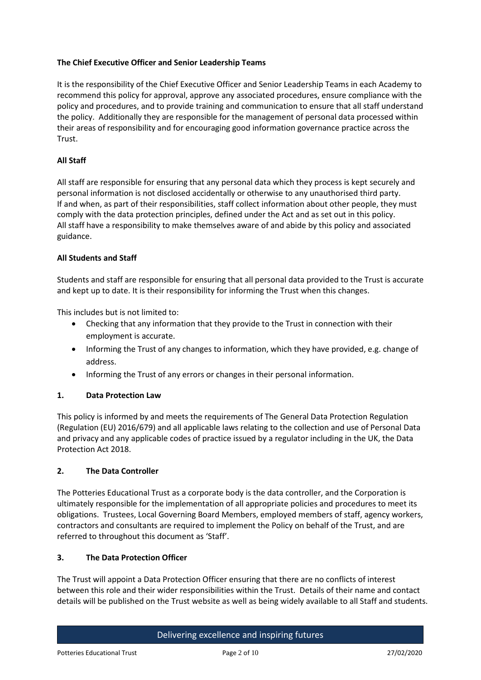## **The Chief Executive Officer and Senior Leadership Teams**

It is the responsibility of the Chief Executive Officer and Senior Leadership Teams in each Academy to recommend this policy for approval, approve any associated procedures, ensure compliance with the policy and procedures, and to provide training and communication to ensure that all staff understand the policy. Additionally they are responsible for the management of personal data processed within their areas of responsibility and for encouraging good information governance practice across the Trust.

## **All Staff**

All staff are responsible for ensuring that any personal data which they process is kept securely and personal information is not disclosed accidentally or otherwise to any unauthorised third party. If and when, as part of their responsibilities, staff collect information about other people, they must comply with the data protection principles, defined under the Act and as set out in this policy. All staff have a responsibility to make themselves aware of and abide by this policy and associated guidance.

#### **All Students and Staff**

Students and staff are responsible for ensuring that all personal data provided to the Trust is accurate and kept up to date. It is their responsibility for informing the Trust when this changes.

This includes but is not limited to:

- Checking that any information that they provide to the Trust in connection with their employment is accurate.
- Informing the Trust of any changes to information, which they have provided, e.g. change of address.
- Informing the Trust of any errors or changes in their personal information.

#### **1. Data Protection Law**

This policy is informed by and meets the requirements of The General Data Protection Regulation (Regulation (EU) 2016/679) and all applicable laws relating to the collection and use of Personal Data and privacy and any applicable codes of practice issued by a regulator including in the UK, the Data Protection Act 2018.

#### **2. The Data Controller**

The Potteries Educational Trust as a corporate body is the data controller, and the Corporation is ultimately responsible for the implementation of all appropriate policies and procedures to meet its obligations. Trustees, Local Governing Board Members, employed members of staff, agency workers, contractors and consultants are required to implement the Policy on behalf of the Trust, and are referred to throughout this document as 'Staff'.

#### **3. The Data Protection Officer**

The Trust will appoint a Data Protection Officer ensuring that there are no conflicts of interest between this role and their wider responsibilities within the Trust. Details of their name and contact details will be published on the Trust website as well as being widely available to all Staff and students.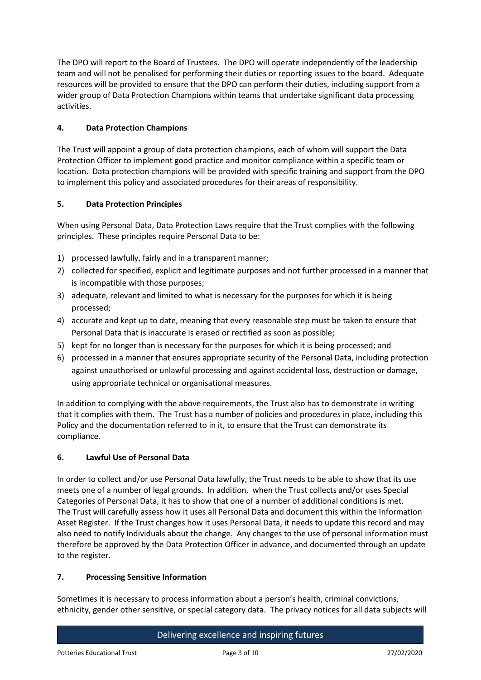The DPO will report to the Board of Trustees. The DPO will operate independently of the leadership team and will not be penalised for performing their duties or reporting issues to the board. Adequate resources will be provided to ensure that the DPO can perform their duties, including support from a wider group of Data Protection Champions within teams that undertake significant data processing activities.

# **4. Data Protection Champions**

The Trust will appoint a group of data protection champions, each of whom will support the Data Protection Officer to implement good practice and monitor compliance within a specific team or location. Data protection champions will be provided with specific training and support from the DPO to implement this policy and associated procedures for their areas of responsibility.

# **5. Data Protection Principles**

When using Personal Data, Data Protection Laws require that the Trust complies with the following principles. These principles require Personal Data to be:

- 1) processed lawfully, fairly and in a transparent manner;
- 2) collected for specified, explicit and legitimate purposes and not further processed in a manner that is incompatible with those purposes;
- 3) adequate, relevant and limited to what is necessary for the purposes for which it is being processed;
- 4) accurate and kept up to date, meaning that every reasonable step must be taken to ensure that Personal Data that is inaccurate is erased or rectified as soon as possible;
- 5) kept for no longer than is necessary for the purposes for which it is being processed; and
- 6) processed in a manner that ensures appropriate security of the Personal Data, including protection against unauthorised or unlawful processing and against accidental loss, destruction or damage, using appropriate technical or organisational measures.

In addition to complying with the above requirements, the Trust also has to demonstrate in writing that it complies with them. The Trust has a number of policies and procedures in place, including this Policy and the documentation referred to in it, to ensure that the Trust can demonstrate its compliance.

# **6. Lawful Use of Personal Data**

In order to collect and/or use Personal Data lawfully, the Trust needs to be able to show that its use meets one of a number of legal grounds. In addition, when the Trust collects and/or uses Special Categories of Personal Data, it has to show that one of a number of additional conditions is met. The Trust will carefully assess how it uses all Personal Data and document this within the Information Asset Register. If the Trust changes how it uses Personal Data, it needs to update this record and may also need to notify Individuals about the change. Any changes to the use of personal information must therefore be approved by the Data Protection Officer in advance, and documented through an update to the register.

# **7. Processing Sensitive Information**

Sometimes it is necessary to process information about a person's health, criminal convictions, ethnicity, gender other sensitive, or special category data. The privacy notices for all data subjects will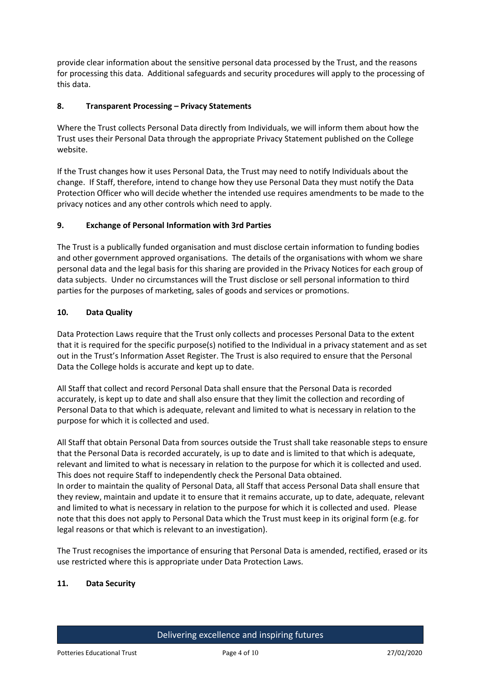provide clear information about the sensitive personal data processed by the Trust, and the reasons for processing this data. Additional safeguards and security procedures will apply to the processing of this data.

## **8. Transparent Processing – Privacy Statements**

Where the Trust collects Personal Data directly from Individuals, we will inform them about how the Trust uses their Personal Data through the appropriate Privacy Statement published on the College website.

If the Trust changes how it uses Personal Data, the Trust may need to notify Individuals about the change. If Staff, therefore, intend to change how they use Personal Data they must notify the Data Protection Officer who will decide whether the intended use requires amendments to be made to the privacy notices and any other controls which need to apply.

## **9. Exchange of Personal Information with 3rd Parties**

The Trust is a publically funded organisation and must disclose certain information to funding bodies and other government approved organisations. The details of the organisations with whom we share personal data and the legal basis for this sharing are provided in the Privacy Notices for each group of data subjects. Under no circumstances will the Trust disclose or sell personal information to third parties for the purposes of marketing, sales of goods and services or promotions.

## **10. Data Quality**

Data Protection Laws require that the Trust only collects and processes Personal Data to the extent that it is required for the specific purpose(s) notified to the Individual in a privacy statement and as set out in the Trust's Information Asset Register. The Trust is also required to ensure that the Personal Data the College holds is accurate and kept up to date.

All Staff that collect and record Personal Data shall ensure that the Personal Data is recorded accurately, is kept up to date and shall also ensure that they limit the collection and recording of Personal Data to that which is adequate, relevant and limited to what is necessary in relation to the purpose for which it is collected and used.

All Staff that obtain Personal Data from sources outside the Trust shall take reasonable steps to ensure that the Personal Data is recorded accurately, is up to date and is limited to that which is adequate, relevant and limited to what is necessary in relation to the purpose for which it is collected and used. This does not require Staff to independently check the Personal Data obtained.

In order to maintain the quality of Personal Data, all Staff that access Personal Data shall ensure that they review, maintain and update it to ensure that it remains accurate, up to date, adequate, relevant and limited to what is necessary in relation to the purpose for which it is collected and used. Please note that this does not apply to Personal Data which the Trust must keep in its original form (e.g. for legal reasons or that which is relevant to an investigation).

The Trust recognises the importance of ensuring that Personal Data is amended, rectified, erased or its use restricted where this is appropriate under Data Protection Laws.

#### **11. Data Security**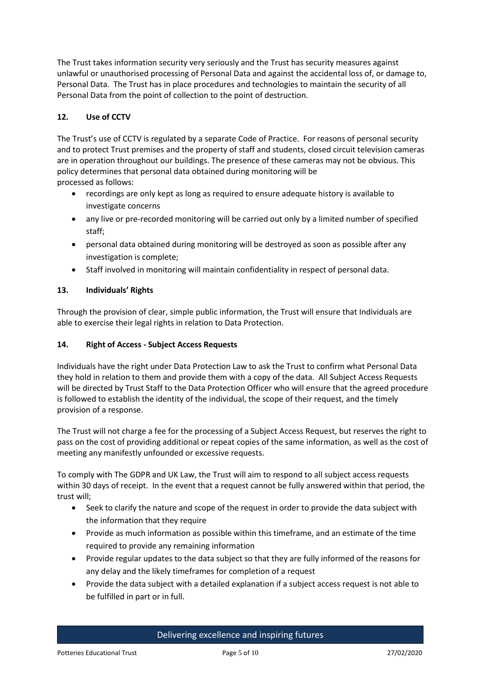The Trust takes information security very seriously and the Trust has security measures against unlawful or unauthorised processing of Personal Data and against the accidental loss of, or damage to, Personal Data. The Trust has in place procedures and technologies to maintain the security of all Personal Data from the point of collection to the point of destruction.

# **12. Use of CCTV**

The Trust's use of CCTV is regulated by a separate Code of Practice. For reasons of personal security and to protect Trust premises and the property of staff and students, closed circuit television cameras are in operation throughout our buildings. The presence of these cameras may not be obvious. This policy determines that personal data obtained during monitoring will be processed as follows:

- recordings are only kept as long as required to ensure adequate history is available to investigate concerns
- any live or pre-recorded monitoring will be carried out only by a limited number of specified staff;
- personal data obtained during monitoring will be destroyed as soon as possible after any investigation is complete;
- Staff involved in monitoring will maintain confidentiality in respect of personal data.

# **13. Individuals' Rights**

Through the provision of clear, simple public information, the Trust will ensure that Individuals are able to exercise their legal rights in relation to Data Protection.

# **14. Right of Access - Subject Access Requests**

Individuals have the right under Data Protection Law to ask the Trust to confirm what Personal Data they hold in relation to them and provide them with a copy of the data. All Subject Access Requests will be directed by Trust Staff to the Data Protection Officer who will ensure that the agreed procedure is followed to establish the identity of the individual, the scope of their request, and the timely provision of a response.

The Trust will not charge a fee for the processing of a Subject Access Request, but reserves the right to pass on the cost of providing additional or repeat copies of the same information, as well as the cost of meeting any manifestly unfounded or excessive requests.

To comply with The GDPR and UK Law, the Trust will aim to respond to all subject access requests within 30 days of receipt. In the event that a request cannot be fully answered within that period, the trust will;

- Seek to clarify the nature and scope of the request in order to provide the data subject with the information that they require
- Provide as much information as possible within this timeframe, and an estimate of the time required to provide any remaining information
- Provide regular updates to the data subject so that they are fully informed of the reasons for any delay and the likely timeframes for completion of a request
- Provide the data subject with a detailed explanation if a subject access request is not able to be fulfilled in part or in full.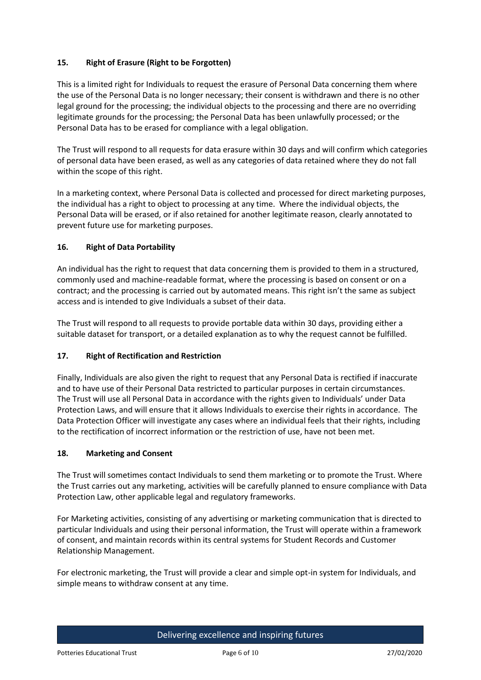# **15. Right of Erasure (Right to be Forgotten)**

This is a limited right for Individuals to request the erasure of Personal Data concerning them where the use of the Personal Data is no longer necessary; their consent is withdrawn and there is no other legal ground for the processing; the individual objects to the processing and there are no overriding legitimate grounds for the processing; the Personal Data has been unlawfully processed; or the Personal Data has to be erased for compliance with a legal obligation.

The Trust will respond to all requests for data erasure within 30 days and will confirm which categories of personal data have been erased, as well as any categories of data retained where they do not fall within the scope of this right.

In a marketing context, where Personal Data is collected and processed for direct marketing purposes, the individual has a right to object to processing at any time. Where the individual objects, the Personal Data will be erased, or if also retained for another legitimate reason, clearly annotated to prevent future use for marketing purposes.

# **16. Right of Data Portability**

An individual has the right to request that data concerning them is provided to them in a structured, commonly used and machine-readable format, where the processing is based on consent or on a contract; and the processing is carried out by automated means. This right isn't the same as subject access and is intended to give Individuals a subset of their data.

The Trust will respond to all requests to provide portable data within 30 days, providing either a suitable dataset for transport, or a detailed explanation as to why the request cannot be fulfilled.

# **17. Right of Rectification and Restriction**

Finally, Individuals are also given the right to request that any Personal Data is rectified if inaccurate and to have use of their Personal Data restricted to particular purposes in certain circumstances. The Trust will use all Personal Data in accordance with the rights given to Individuals' under Data Protection Laws, and will ensure that it allows Individuals to exercise their rights in accordance. The Data Protection Officer will investigate any cases where an individual feels that their rights, including to the rectification of incorrect information or the restriction of use, have not been met.

#### **18. Marketing and Consent**

The Trust will sometimes contact Individuals to send them marketing or to promote the Trust. Where the Trust carries out any marketing, activities will be carefully planned to ensure compliance with Data Protection Law, other applicable legal and regulatory frameworks.

For Marketing activities, consisting of any advertising or marketing communication that is directed to particular Individuals and using their personal information, the Trust will operate within a framework of consent, and maintain records within its central systems for Student Records and Customer Relationship Management.

For electronic marketing, the Trust will provide a clear and simple opt-in system for Individuals, and simple means to withdraw consent at any time.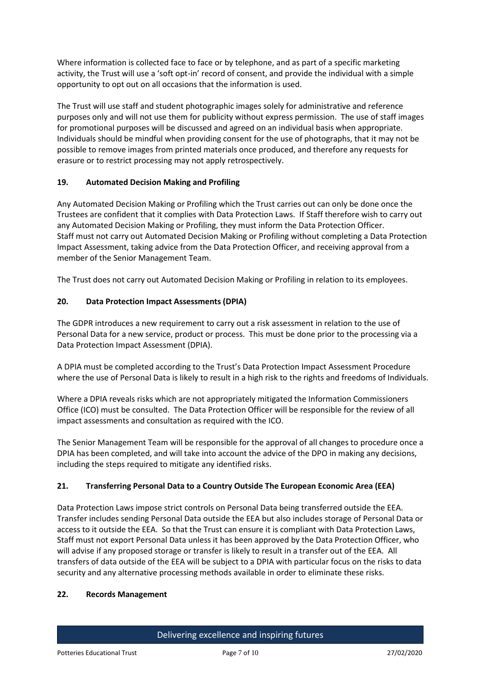Where information is collected face to face or by telephone, and as part of a specific marketing activity, the Trust will use a 'soft opt-in' record of consent, and provide the individual with a simple opportunity to opt out on all occasions that the information is used.

The Trust will use staff and student photographic images solely for administrative and reference purposes only and will not use them for publicity without express permission. The use of staff images for promotional purposes will be discussed and agreed on an individual basis when appropriate. Individuals should be mindful when providing consent for the use of photographs, that it may not be possible to remove images from printed materials once produced, and therefore any requests for erasure or to restrict processing may not apply retrospectively.

# **19. Automated Decision Making and Profiling**

Any Automated Decision Making or Profiling which the Trust carries out can only be done once the Trustees are confident that it complies with Data Protection Laws. If Staff therefore wish to carry out any Automated Decision Making or Profiling, they must inform the Data Protection Officer. Staff must not carry out Automated Decision Making or Profiling without completing a Data Protection Impact Assessment, taking advice from the Data Protection Officer, and receiving approval from a member of the Senior Management Team.

The Trust does not carry out Automated Decision Making or Profiling in relation to its employees.

## **20. Data Protection Impact Assessments (DPIA)**

The GDPR introduces a new requirement to carry out a risk assessment in relation to the use of Personal Data for a new service, product or process. This must be done prior to the processing via a Data Protection Impact Assessment (DPIA).

A DPIA must be completed according to the Trust's Data Protection Impact Assessment Procedure where the use of Personal Data is likely to result in a high risk to the rights and freedoms of Individuals.

Where a DPIA reveals risks which are not appropriately mitigated the Information Commissioners Office (ICO) must be consulted. The Data Protection Officer will be responsible for the review of all impact assessments and consultation as required with the ICO.

The Senior Management Team will be responsible for the approval of all changes to procedure once a DPIA has been completed, and will take into account the advice of the DPO in making any decisions, including the steps required to mitigate any identified risks.

# **21. Transferring Personal Data to a Country Outside The European Economic Area (EEA)**

Data Protection Laws impose strict controls on Personal Data being transferred outside the EEA. Transfer includes sending Personal Data outside the EEA but also includes storage of Personal Data or access to it outside the EEA. So that the Trust can ensure it is compliant with Data Protection Laws, Staff must not export Personal Data unless it has been approved by the Data Protection Officer, who will advise if any proposed storage or transfer is likely to result in a transfer out of the EEA. All transfers of data outside of the EEA will be subject to a DPIA with particular focus on the risks to data security and any alternative processing methods available in order to eliminate these risks.

#### **22. Records Management**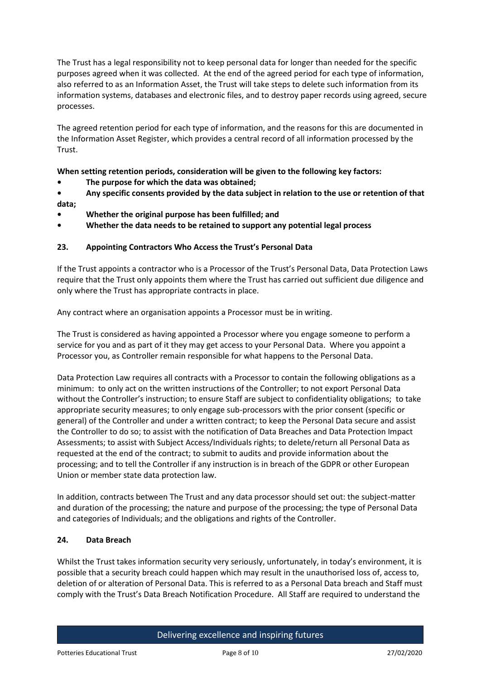The Trust has a legal responsibility not to keep personal data for longer than needed for the specific purposes agreed when it was collected. At the end of the agreed period for each type of information, also referred to as an Information Asset, the Trust will take steps to delete such information from its information systems, databases and electronic files, and to destroy paper records using agreed, secure processes.

The agreed retention period for each type of information, and the reasons for this are documented in the Information Asset Register, which provides a central record of all information processed by the Trust.

**When setting retention periods, consideration will be given to the following key factors:**

**• The purpose for which the data was obtained;**

**• Any specific consents provided by the data subject in relation to the use or retention of that data;**

- **• Whether the original purpose has been fulfilled; and**
- **• Whether the data needs to be retained to support any potential legal process**

## **23. Appointing Contractors Who Access the Trust's Personal Data**

If the Trust appoints a contractor who is a Processor of the Trust's Personal Data, Data Protection Laws require that the Trust only appoints them where the Trust has carried out sufficient due diligence and only where the Trust has appropriate contracts in place.

Any contract where an organisation appoints a Processor must be in writing.

The Trust is considered as having appointed a Processor where you engage someone to perform a service for you and as part of it they may get access to your Personal Data. Where you appoint a Processor you, as Controller remain responsible for what happens to the Personal Data.

Data Protection Law requires all contracts with a Processor to contain the following obligations as a minimum: to only act on the written instructions of the Controller; to not export Personal Data without the Controller's instruction; to ensure Staff are subject to confidentiality obligations; to take appropriate security measures; to only engage sub-processors with the prior consent (specific or general) of the Controller and under a written contract; to keep the Personal Data secure and assist the Controller to do so; to assist with the notification of Data Breaches and Data Protection Impact Assessments; to assist with Subject Access/Individuals rights; to delete/return all Personal Data as requested at the end of the contract; to submit to audits and provide information about the processing; and to tell the Controller if any instruction is in breach of the GDPR or other European Union or member state data protection law.

In addition, contracts between The Trust and any data processor should set out: the subject-matter and duration of the processing; the nature and purpose of the processing; the type of Personal Data and categories of Individuals; and the obligations and rights of the Controller.

#### **24. Data Breach**

Whilst the Trust takes information security very seriously, unfortunately, in today's environment, it is possible that a security breach could happen which may result in the unauthorised loss of, access to, deletion of or alteration of Personal Data. This is referred to as a Personal Data breach and Staff must comply with the Trust's Data Breach Notification Procedure. All Staff are required to understand the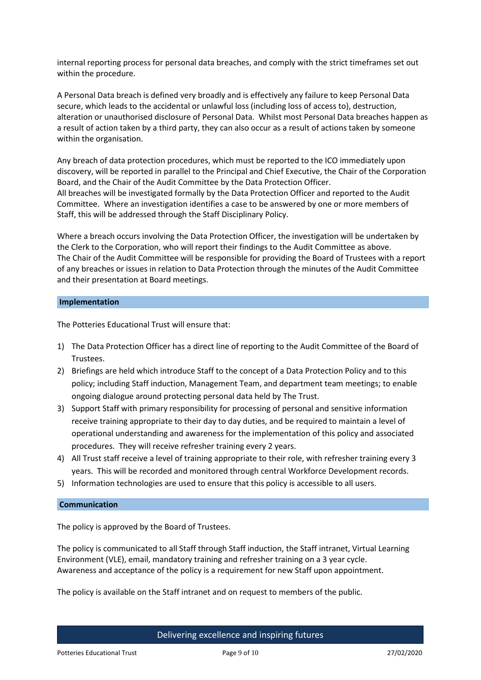internal reporting process for personal data breaches, and comply with the strict timeframes set out within the procedure.

A Personal Data breach is defined very broadly and is effectively any failure to keep Personal Data secure, which leads to the accidental or unlawful loss (including loss of access to), destruction, alteration or unauthorised disclosure of Personal Data. Whilst most Personal Data breaches happen as a result of action taken by a third party, they can also occur as a result of actions taken by someone within the organisation.

Any breach of data protection procedures, which must be reported to the ICO immediately upon discovery, will be reported in parallel to the Principal and Chief Executive, the Chair of the Corporation Board, and the Chair of the Audit Committee by the Data Protection Officer. All breaches will be investigated formally by the Data Protection Officer and reported to the Audit Committee. Where an investigation identifies a case to be answered by one or more members of Staff, this will be addressed through the Staff Disciplinary Policy.

Where a breach occurs involving the Data Protection Officer, the investigation will be undertaken by the Clerk to the Corporation, who will report their findings to the Audit Committee as above. The Chair of the Audit Committee will be responsible for providing the Board of Trustees with a report of any breaches or issues in relation to Data Protection through the minutes of the Audit Committee and their presentation at Board meetings.

#### **Implementation**

The Potteries Educational Trust will ensure that:

- 1) The Data Protection Officer has a direct line of reporting to the Audit Committee of the Board of Trustees.
- 2) Briefings are held which introduce Staff to the concept of a Data Protection Policy and to this policy; including Staff induction, Management Team, and department team meetings; to enable ongoing dialogue around protecting personal data held by The Trust.
- 3) Support Staff with primary responsibility for processing of personal and sensitive information receive training appropriate to their day to day duties, and be required to maintain a level of operational understanding and awareness for the implementation of this policy and associated procedures. They will receive refresher training every 2 years.
- 4) All Trust staff receive a level of training appropriate to their role, with refresher training every 3 years. This will be recorded and monitored through central Workforce Development records.
- 5) Information technologies are used to ensure that this policy is accessible to all users.

#### **Communication**

The policy is approved by the Board of Trustees.

The policy is communicated to all Staff through Staff induction, the Staff intranet, Virtual Learning Environment (VLE), email, mandatory training and refresher training on a 3 year cycle. Awareness and acceptance of the policy is a requirement for new Staff upon appointment.

The policy is available on the Staff intranet and on request to members of the public.